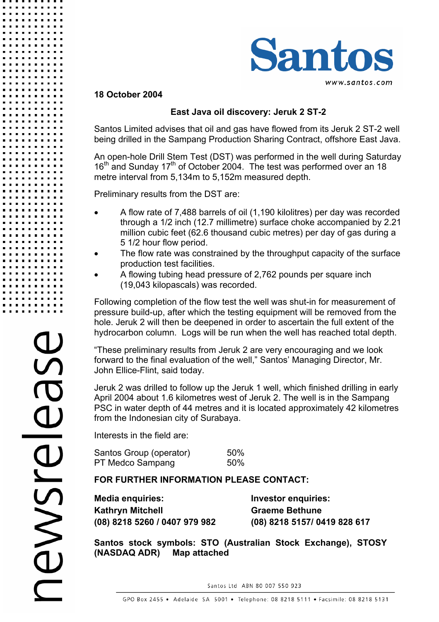

## **18 October 2004**

## **East Java oil discovery: Jeruk 2 ST-2**

Santos Limited advises that oil and gas have flowed from its Jeruk 2 ST-2 well being drilled in the Sampang Production Sharing Contract, offshore East Java.

An open-hole Drill Stem Test (DST) was performed in the well during Saturday  $16<sup>th</sup>$  and Sunday  $17<sup>th</sup>$  of October 2004. The test was performed over an 18 metre interval from 5,134m to 5,152m measured depth.

Preliminary results from the DST are:

- A flow rate of 7,488 barrels of oil (1,190 kilolitres) per day was recorded through a 1/2 inch (12.7 millimetre) surface choke accompanied by 2.21 million cubic feet (62.6 thousand cubic metres) per day of gas during a 5 1/2 hour flow period.
- The flow rate was constrained by the throughput capacity of the surface production test facilities.
- A flowing tubing head pressure of 2,762 pounds per square inch (19,043 kilopascals) was recorded.

Following completion of the flow test the well was shut-in for measurement of pressure build-up, after which the testing equipment will be removed from the hole. Jeruk 2 will then be deepened in order to ascertain the full extent of the hydrocarbon column. Logs will be run when the well has reached total depth.

"These preliminary results from Jeruk 2 are very encouraging and we look forward to the final evaluation of the well," Santos' Managing Director, Mr. John Ellice-Flint, said today.

Jeruk 2 was drilled to follow up the Jeruk 1 well, which finished drilling in early April 2004 about 1.6 kilometres west of Jeruk 2. The well is in the Sampang PSC in water depth of 44 metres and it is located approximately 42 kilometres from the Indonesian city of Surabaya.

Interests in the field are:

Santos Group (operator) 50% PT Medco Sampang 50%

## **FOR FURTHER INFORMATION PLEASE CONTACT:**

**Media enquiries: Investor enquiries: Kathryn Mitchell Graeme Bethune** 

**(08) 8218 5260 / 0407 979 982 (08) 8218 5157/ 0419 828 617** 

**Santos stock symbols: STO (Australian Stock Exchange), STOSY (NASDAQ ADR) Map attached**